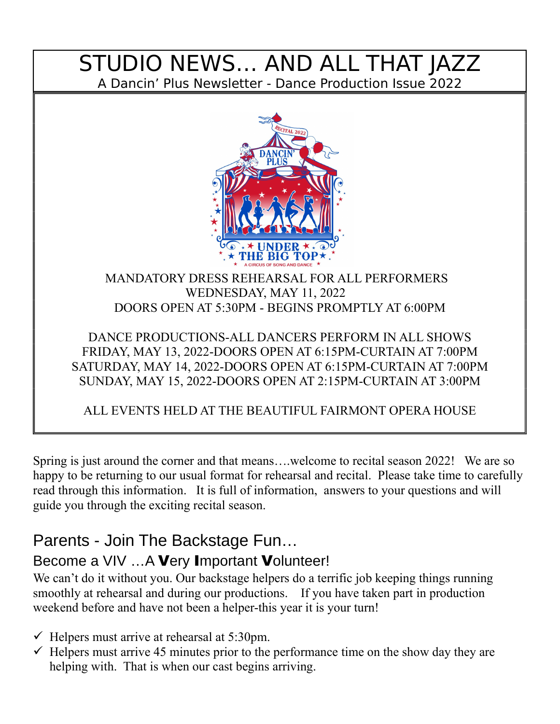### STUDIO NEWS… AND ALL THAT JAZZ A Dancin' Plus Newsletter - Dance Production Issue 2022



#### MANDATORY DRESS REHEARSAL FOR ALL PERFORMERS WEDNESDAY, MAY 11, 2022 DOORS OPEN AT 5:30PM - BEGINS PROMPTLY AT 6:00PM

#### DANCE PRODUCTIONS-ALL DANCERS PERFORM IN ALL SHOWS FRIDAY, MAY 13, 2022-DOORS OPEN AT 6:15PM-CURTAIN AT 7:00PM SATURDAY, MAY 14, 2022-DOORS OPEN AT 6:15PM-CURTAIN AT 7:00PM SUNDAY, MAY 15, 2022-DOORS OPEN AT 2:15PM-CURTAIN AT 3:00PM

ALL EVENTS HELD AT THE BEAUTIFUL FAIRMONT OPERA HOUSE

Spring is just around the corner and that means….welcome to recital season 2022! We are so happy to be returning to our usual format for rehearsal and recital. Please take time to carefully read through this information. It is full of information, answers to your questions and will guide you through the exciting recital season.

# Parents - Join The Backstage Fun…

### Become a VIV ...A Very Important Volunteer!

We can't do it without you. Our backstage helpers do a terrific job keeping things running smoothly at rehearsal and during our productions. If you have taken part in production weekend before and have not been a helper-this year it is your turn!

- $\checkmark$  Helpers must arrive at rehearsal at 5:30pm.
- $\checkmark$  Helpers must arrive 45 minutes prior to the performance time on the show day they are helping with. That is when our cast begins arriving.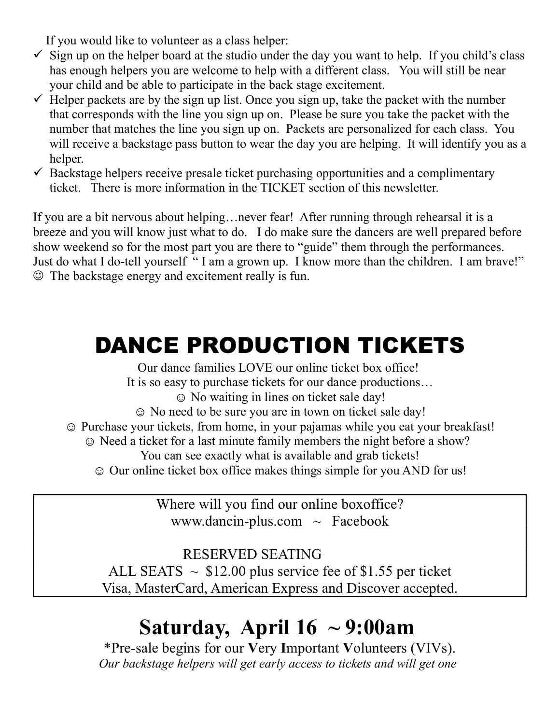If you would like to volunteer as a class helper:

- $\checkmark$  Sign up on the helper board at the studio under the day you want to help. If you child's class has enough helpers you are welcome to help with a different class. You will still be near your child and be able to participate in the back stage excitement.
- $\checkmark$  Helper packets are by the sign up list. Once you sign up, take the packet with the number that corresponds with the line you sign up on. Please be sure you take the packet with the number that matches the line you sign up on. Packets are personalized for each class. You will receive a backstage pass button to wear the day you are helping. It will identify you as a helper.
- $\checkmark$  Backstage helpers receive presale ticket purchasing opportunities and a complimentary ticket. There is more information in the TICKET section of this newsletter.

If you are a bit nervous about helping…never fear! After running through rehearsal it is a breeze and you will know just what to do. I do make sure the dancers are well prepared before show weekend so for the most part you are there to "guide" them through the performances. Just do what I do-tell yourself " I am a grown up. I know more than the children. I am brave!"  $\odot$  The backstage energy and excitement really is fun.

# DANCE PRODUCTION TICKETS

Our dance families LOVE our online ticket box office! It is so easy to purchase tickets for our dance productions… ☺ No waiting in lines on ticket sale day! ☺ No need to be sure you are in town on ticket sale day! ☺ Purchase your tickets, from home, in your pajamas while you eat your breakfast! ☺ Need a ticket for a last minute family members the night before a show? You can see exactly what is available and grab tickets! ☺ Our online ticket box office makes things simple for you AND for us!

> Where will you find our online boxoffice? www.dancin-plus.com  $\sim$  Facebook

RESERVED SEATING ALL SEATS  $\sim$  \$12.00 plus service fee of \$1.55 per ticket Visa, MasterCard, American Express and Discover accepted.

# **Saturday, April 16 ~ 9:00am**

\*Pre-sale begins for our **V**ery **I**mportant **V**olunteers (VIVs). *Our backstage helpers will get early access to tickets and will get one*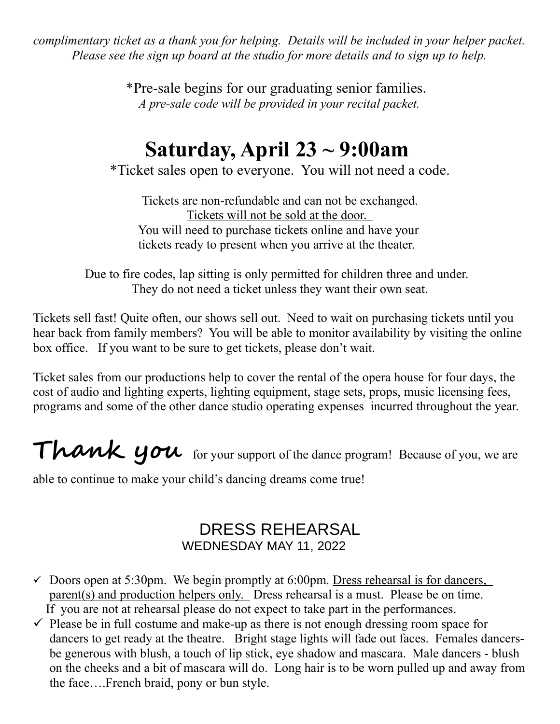*complimentary ticket as a thank you for helping. Details will be included in your helper packet. Please see the sign up board at the studio for more details and to sign up to help.*

> \*Pre-sale begins for our graduating senior families. *A pre-sale code will be provided in your recital packet.*

# **Saturday, April 23 ~ 9:00am**

\*Ticket sales open to everyone. You will not need a code.

Tickets are non-refundable and can not be exchanged. Tickets will not be sold at the door. You will need to purchase tickets online and have your tickets ready to present when you arrive at the theater.

Due to fire codes, lap sitting is only permitted for children three and under. They do not need a ticket unless they want their own seat.

Tickets sell fast! Quite often, our shows sell out. Need to wait on purchasing tickets until you hear back from family members? You will be able to monitor availability by visiting the online box office. If you want to be sure to get tickets, please don't wait.

Ticket sales from our productions help to cover the rental of the opera house for four days, the cost of audio and lighting experts, lighting equipment, stage sets, props, music licensing fees, programs and some of the other dance studio operating expenses incurred throughout the year.

Thank you for your support of the dance program! Because of you, we are

able to continue to make your child's dancing dreams come true!

#### DRESS REHEARSAL WEDNESDAY MAY 11, 2022

- $\checkmark$  Doors open at 5:30pm. We begin promptly at 6:00pm. Dress rehearsal is for dancers, parent(s) and production helpers only. Dress rehearsal is a must. Please be on time. If you are not at rehearsal please do not expect to take part in the performances.
- $\checkmark$  Please be in full costume and make-up as there is not enough dressing room space for dancers to get ready at the theatre. Bright stage lights will fade out faces. Females dancersbe generous with blush, a touch of lip stick, eye shadow and mascara. Male dancers - blush on the cheeks and a bit of mascara will do. Long hair is to be worn pulled up and away from the face….French braid, pony or bun style.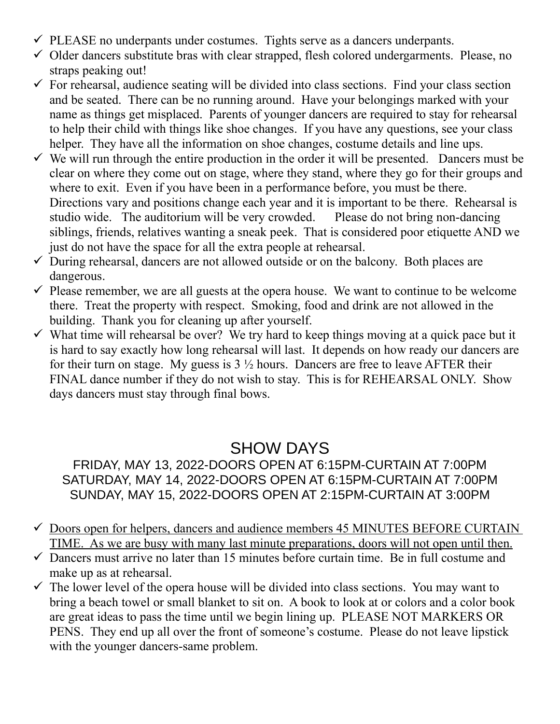- $\checkmark$  PLEASE no underpants under costumes. Tights serve as a dancers underpants.
- $\checkmark$  Older dancers substitute bras with clear strapped, flesh colored undergarments. Please, no straps peaking out!
- $\checkmark$  For rehearsal, audience seating will be divided into class sections. Find your class section and be seated. There can be no running around. Have your belongings marked with your name as things get misplaced. Parents of younger dancers are required to stay for rehearsal to help their child with things like shoe changes. If you have any questions, see your class helper. They have all the information on shoe changes, costume details and line ups.
- $\checkmark$  We will run through the entire production in the order it will be presented. Dancers must be clear on where they come out on stage, where they stand, where they go for their groups and where to exit. Even if you have been in a performance before, you must be there. Directions vary and positions change each year and it is important to be there. Rehearsal is studio wide. The auditorium will be very crowded. Please do not bring non-dancing siblings, friends, relatives wanting a sneak peek. That is considered poor etiquette AND we just do not have the space for all the extra people at rehearsal.
- $\checkmark$  During rehearsal, dancers are not allowed outside or on the balcony. Both places are dangerous.
- $\checkmark$  Please remember, we are all guests at the opera house. We want to continue to be welcome there. Treat the property with respect. Smoking, food and drink are not allowed in the building. Thank you for cleaning up after yourself.
- $\checkmark$  What time will rehearsal be over? We try hard to keep things moving at a quick pace but it is hard to say exactly how long rehearsal will last. It depends on how ready our dancers are for their turn on stage. My guess is  $3\frac{1}{2}$  hours. Dancers are free to leave AFTER their FINAL dance number if they do not wish to stay. This is for REHEARSAL ONLY. Show days dancers must stay through final bows.

### SHOW DAYS

#### FRIDAY, MAY 13, 2022-DOORS OPEN AT 6:15PM-CURTAIN AT 7:00PM SATURDAY, MAY 14, 2022-DOORS OPEN AT 6:15PM-CURTAIN AT 7:00PM SUNDAY, MAY 15, 2022-DOORS OPEN AT 2:15PM-CURTAIN AT 3:00PM

- $\checkmark$  Doors open for helpers, dancers and audience members 45 MINUTES BEFORE CURTAIN TIME. As we are busy with many last minute preparations, doors will not open until then.
- $\checkmark$  Dancers must arrive no later than 15 minutes before curtain time. Be in full costume and make up as at rehearsal.
- $\checkmark$  The lower level of the opera house will be divided into class sections. You may want to bring a beach towel or small blanket to sit on. A book to look at or colors and a color book are great ideas to pass the time until we begin lining up. PLEASE NOT MARKERS OR PENS. They end up all over the front of someone's costume. Please do not leave lipstick with the younger dancers-same problem.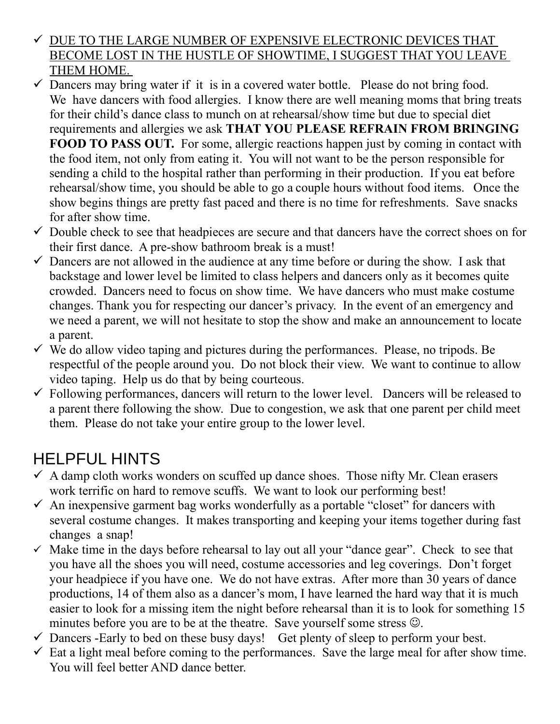- $\checkmark$  DUE TO THE LARGE NUMBER OF EXPENSIVE ELECTRONIC DEVICES THAT BECOME LOST IN THE HUSTLE OF SHOWTIME, I SUGGEST THAT YOU LEAVE THEM HOME.
- $\checkmark$  Dancers may bring water if it is in a covered water bottle. Please do not bring food. We have dancers with food allergies. I know there are well meaning moms that bring treats for their child's dance class to munch on at rehearsal/show time but due to special diet requirements and allergies we ask **THAT YOU PLEASE REFRAIN FROM BRINGING FOOD TO PASS OUT.** For some, allergic reactions happen just by coming in contact with the food item, not only from eating it. You will not want to be the person responsible for sending a child to the hospital rather than performing in their production. If you eat before rehearsal/show time, you should be able to go a couple hours without food items. Once the show begins things are pretty fast paced and there is no time for refreshments. Save snacks for after show time.
- $\checkmark$  Double check to see that headpieces are secure and that dancers have the correct shoes on for their first dance. A pre-show bathroom break is a must!
- $\checkmark$  Dancers are not allowed in the audience at any time before or during the show. I ask that backstage and lower level be limited to class helpers and dancers only as it becomes quite crowded. Dancers need to focus on show time. We have dancers who must make costume changes. Thank you for respecting our dancer's privacy. In the event of an emergency and we need a parent, we will not hesitate to stop the show and make an announcement to locate a parent.
- $\checkmark$  We do allow video taping and pictures during the performances. Please, no tripods. Be respectful of the people around you. Do not block their view. We want to continue to allow video taping. Help us do that by being courteous.
- $\checkmark$  Following performances, dancers will return to the lower level. Dancers will be released to a parent there following the show. Due to congestion, we ask that one parent per child meet them. Please do not take your entire group to the lower level.

## HELPFUL HINTS

- $\checkmark$  A damp cloth works wonders on scuffed up dance shoes. Those nifty Mr. Clean erasers work terrific on hard to remove scuffs. We want to look our performing best!
- $\checkmark$  An inexpensive garment bag works wonderfully as a portable "closet" for dancers with several costume changes. It makes transporting and keeping your items together during fast changes a snap!
- $\checkmark$  Make time in the days before rehearsal to lay out all your "dance gear". Check to see that you have all the shoes you will need, costume accessories and leg coverings. Don't forget your headpiece if you have one. We do not have extras. After more than 30 years of dance productions, 14 of them also as a dancer's mom, I have learned the hard way that it is much easier to look for a missing item the night before rehearsal than it is to look for something 15 minutes before you are to be at the theatre. Save yourself some stress  $\odot$ .
- $\checkmark$  Dancers -Early to bed on these busy days! Get plenty of sleep to perform your best.
- $\checkmark$  Eat a light meal before coming to the performances. Save the large meal for after show time. You will feel better AND dance better.